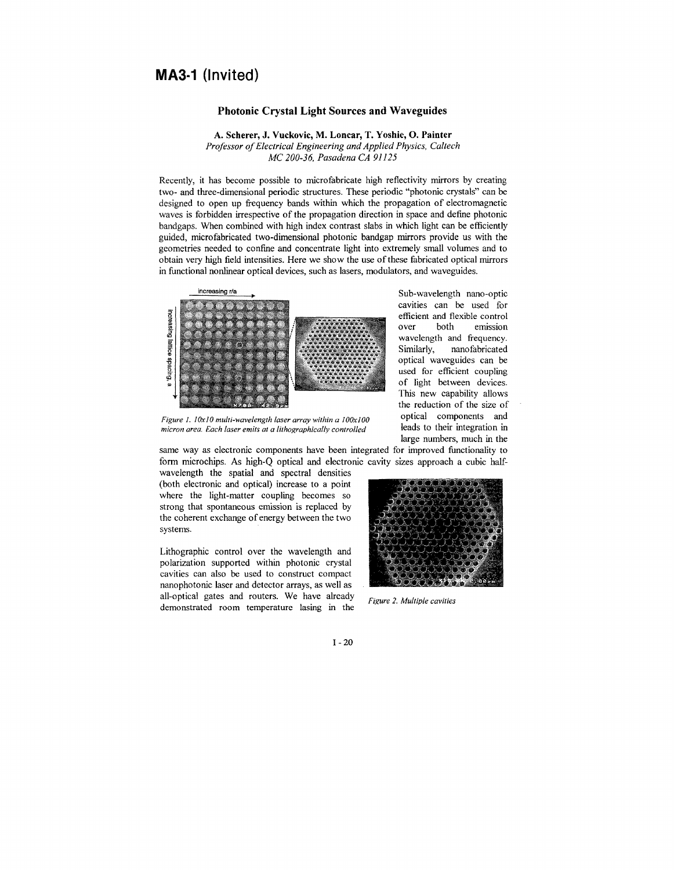## **MA3·1 (Invited)**

## **Photonic Crystal Light Sources and Waveguides**

**A. Scherer, J. Vuckovic, M. Loncar, T. Yoshie, 0. Painter**  *Professor of Electrical Engineering and Applied Physics, Caltech MC 200-36, Pasadena CA 91125* 

Recently, it has become possible to microfabricate high reflectivity mirrors by creating two- and three-dimensional periodic structures. These periodic "photonic crystals" can be designed to open up frequency bands within which the propagation of electromagnetic waves is forbidden irrespective of the propagation direction in space and define photonic bandgaps. When combined with high index contrast slabs in which light can be efficiently guided, microfabricated two-dimensional photonic bandgap mirrors provide us with the geometries needed to confine and concentrate light into extremely small volumes and to obtain very high field intensities. Here we show the use of these fabricated optical mirrors in functional nonlinear optical devices, such as lasers, modulators, and waveguides.



Sub-wavelength nano-optic cavities can be used for efficient and flexible control over both emission wavelength and frequency. Similarly, nanofabricated optical waveguides can be used for efficient coupling of light between devices. This new capability allows the reduction of the size of optical components and leads to their integration in large numbers, much in the

*Figure 1. /OxJO multi-wavelength laser array within a IOOxlOO micron area. Each laser emits at a lithographically controlled* 

same way as electronic components have been integrated for improved functionality to form microchips. As high-Q optical and electronic cavity sizes approach a cubic half-

wavelength the spatial and spectral densities (both electronic and optical) increase to a point where the light-matter coupling becomes so strong that spontaneous emission is replaced by the coherent exchange of energy between the two systems.

Lithographic control over the wavelength and polarization supported within photonic crystal cavities can also be used to construct compact nanophotonic laser and detector arrays, as well as all-optical gates and routers. We have already demonstrated room temperature lasing in the



*Figure 2. Multiple cavities* 

I- 20